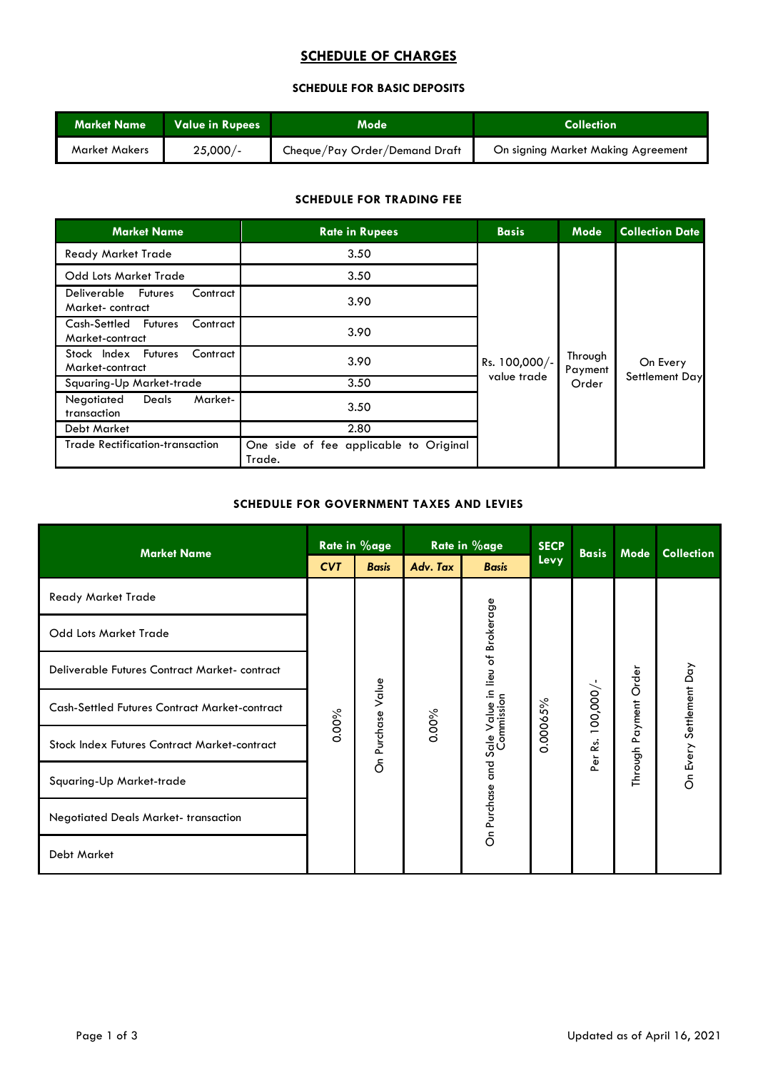# **SCHEDULE OF CHARGES**

### **SCHEDULE FOR BASIC DEPOSITS**

| Market Name   | <b>Value in Rupees</b> | Mode                          | <b>Collection</b>                  |
|---------------|------------------------|-------------------------------|------------------------------------|
| Market Makers | $25,000/-$             | Cheque/Pay Order/Demand Draft | On signing Market Making Agreement |

#### **SCHEDULE FOR TRADING FEE**

| <b>Market Name</b>                                  | <b>Rate in Rupees</b>                            | <b>Basis</b><br>Mode |                             | <b>Collection Date</b>     |
|-----------------------------------------------------|--------------------------------------------------|----------------------|-----------------------------|----------------------------|
| <b>Ready Market Trade</b>                           | 3.50                                             |                      |                             |                            |
| <b>Odd Lots Market Trade</b>                        | 3.50                                             |                      | Through<br>Payment<br>Order | On Every<br>Settlement Day |
| Deliverable Futures<br>Contract<br>Market-contract  | 3.90                                             |                      |                             |                            |
| Cash-Settled Futures<br>Contract<br>Market-contract | 3.90                                             | Rs. 100,000/-        |                             |                            |
| Stock Index Futures<br>Contract<br>Market-contract  | 3.90                                             |                      |                             |                            |
| Squaring-Up Market-trade                            | 3.50                                             | value trade          |                             |                            |
| Market-<br>Negotiated<br>Deals<br>transaction       | 3.50                                             |                      |                             |                            |
| <b>Debt Market</b>                                  | 2.80                                             |                      |                             |                            |
| Trade Rectification-transaction                     | One side of fee applicable to Original<br>Trade. |                      |                             |                            |

#### **SCHEDULE FOR GOVERNMENT TAXES AND LEVIES**

| <b>Market Name</b>                                   |       | Rate in %age |          | Rate in %age                        |          | <b>Basis</b>                                                  | Mode             | <b>Collection</b>       |
|------------------------------------------------------|-------|--------------|----------|-------------------------------------|----------|---------------------------------------------------------------|------------------|-------------------------|
|                                                      |       | <b>Basis</b> | Adv. Tax | <b>Basis</b>                        | Levy     |                                                               |                  |                         |
| <b>Ready Market Trade</b>                            |       |              |          |                                     |          |                                                               |                  |                         |
| <b>Odd Lots Market Trade</b>                         |       |              |          | <b>Brokerage</b>                    |          |                                                               |                  |                         |
| Deliverable Futures Contract Market-contract         |       | Value        |          | Sale Value in lieu of<br>Commission | 0.00065% | 00,000/                                                       | Order<br>Payment | On Every Settlement Day |
| <b>Cash-Settled Futures Contract Market-contract</b> | 0.00% |              |          |                                     |          |                                                               |                  |                         |
| Stock Index Futures Contract Market-contract         |       | Purchase     | 0.00%    |                                     |          | $\overline{\phantom{0}}$<br>జ<br>$\overleftarrow{\mathbf{e}}$ |                  |                         |
| Squaring-Up Market-trade                             |       | $\delta$     |          | and                                 |          | ௳                                                             | Through          |                         |
| <b>Negotiated Deals Market- transaction</b>          |       |              |          | On Purchase                         |          |                                                               |                  |                         |
| <b>Debt Market</b>                                   |       |              |          |                                     |          |                                                               |                  |                         |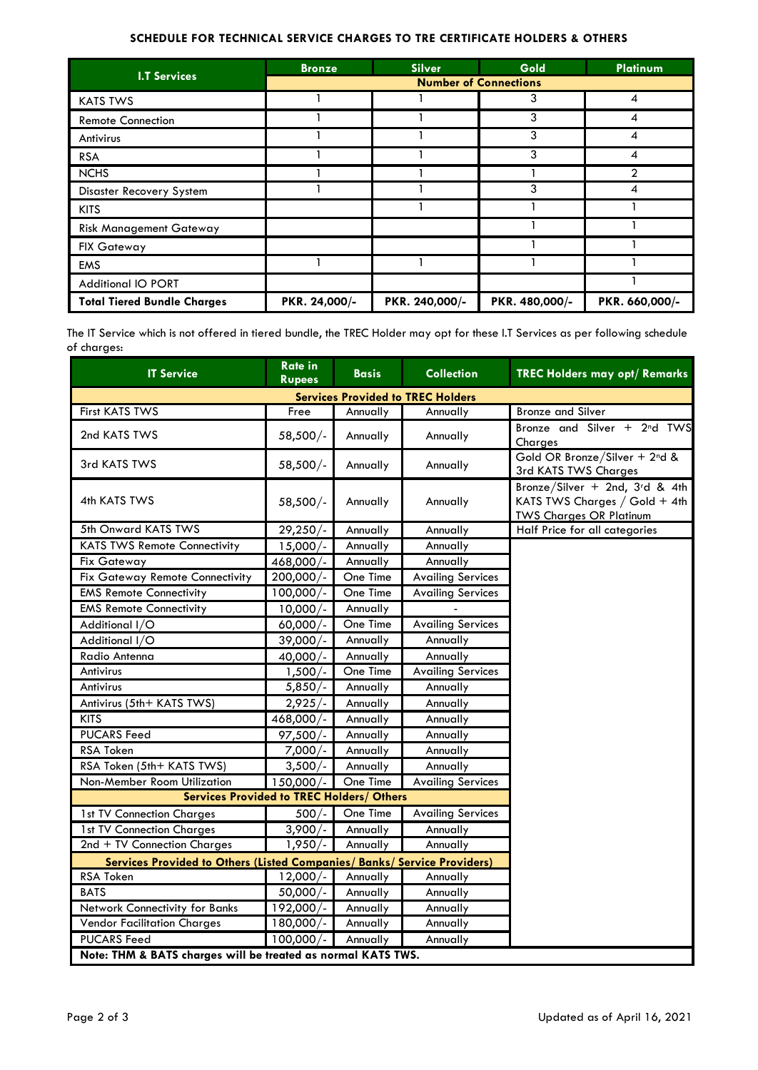## **SCHEDULE FOR TECHNICAL SERVICE CHARGES TO TRE CERTIFICATE HOLDERS & OTHERS**

|                                    | <b>Bronze</b>                | <b>Silver</b>  | Gold           | Platinum       |  |  |  |
|------------------------------------|------------------------------|----------------|----------------|----------------|--|--|--|
| <b>I.T Services</b>                | <b>Number of Connections</b> |                |                |                |  |  |  |
| <b>KATS TWS</b>                    |                              |                | 3              |                |  |  |  |
| <b>Remote Connection</b>           |                              |                | 3              |                |  |  |  |
| Antivirus                          |                              |                | 3              | 4              |  |  |  |
| <b>RSA</b>                         |                              |                | 3              |                |  |  |  |
| <b>NCHS</b>                        |                              |                |                | ◠              |  |  |  |
| Disaster Recovery System           |                              |                | 3              |                |  |  |  |
| <b>KITS</b>                        |                              |                |                |                |  |  |  |
| <b>Risk Management Gateway</b>     |                              |                |                |                |  |  |  |
| <b>FIX Gateway</b>                 |                              |                |                |                |  |  |  |
| <b>EMS</b>                         |                              |                |                |                |  |  |  |
| <b>Additional IO PORT</b>          |                              |                |                |                |  |  |  |
| <b>Total Tiered Bundle Charges</b> | PKR. 24,000/-                | PKR. 240,000/- | PKR. 480,000/- | PKR. 660,000/- |  |  |  |

The IT Service which is not offered in tiered bundle, the TREC Holder may opt for these I.T Services as per following schedule of charges:

| <b>IT Service</b>                                                        | <b>Rate in</b><br><b>Rupees</b> | <b>Basis</b> | <b>Collection</b>        | <b>TREC Holders may opt/ Remarks</b>                                                              |  |  |  |  |
|--------------------------------------------------------------------------|---------------------------------|--------------|--------------------------|---------------------------------------------------------------------------------------------------|--|--|--|--|
| <b>Services Provided to TREC Holders</b>                                 |                                 |              |                          |                                                                                                   |  |  |  |  |
| First KATS TWS                                                           | Free                            | Annually     | Annually                 | <b>Bronze and Silver</b>                                                                          |  |  |  |  |
| 2nd KATS TWS                                                             | 58,500/-                        | Annually     | Annually                 | Bronze and Silver + 2 <sup>n</sup> d TWS<br>Charges                                               |  |  |  |  |
| 3rd KATS TWS                                                             | 58,500/-                        | Annually     | Annually                 | Gold OR Bronze/Silver + 2nd &<br>3rd KATS TWS Charges                                             |  |  |  |  |
| 4th KATS TWS                                                             | 58,500/-                        | Annually     | Annually                 | Bronze/Silver + 2nd, 3rd & 4th<br>KATS TWS Charges / Gold + 4th<br><b>TWS Charges OR Platinum</b> |  |  |  |  |
| 5th Onward KATS TWS                                                      | $29,250/-$                      | Annually     | Annually                 | Half Price for all categories                                                                     |  |  |  |  |
| <b>KATS TWS Remote Connectivity</b>                                      | $15,000/-$                      | Annually     | Annually                 |                                                                                                   |  |  |  |  |
| <b>Fix Gateway</b>                                                       | 468,000/-                       | Annually     | Annually                 |                                                                                                   |  |  |  |  |
| <b>Fix Gateway Remote Connectivity</b>                                   | 200,000/-                       | One Time     | <b>Availing Services</b> |                                                                                                   |  |  |  |  |
| <b>EMS Remote Connectivity</b>                                           | $100,000/-$                     | One Time     | <b>Availing Services</b> |                                                                                                   |  |  |  |  |
| <b>EMS Remote Connectivity</b>                                           | $10,000/-$                      | Annually     |                          |                                                                                                   |  |  |  |  |
| Additional I/O                                                           | 60,000/-                        | One Time     | <b>Availing Services</b> |                                                                                                   |  |  |  |  |
| Additional I/O                                                           | 39,000/-                        | Annually     | Annually                 |                                                                                                   |  |  |  |  |
| Radio Antenna                                                            | 40,000/-                        | Annually     | Annually                 |                                                                                                   |  |  |  |  |
| Antivirus                                                                | $1,500/-$                       | One Time     | <b>Availing Services</b> |                                                                                                   |  |  |  |  |
| Antivirus                                                                | 5,850/                          | Annually     | Annually                 |                                                                                                   |  |  |  |  |
| Antivirus (5th+ KATS TWS)                                                | 2,925/                          | Annually     | Annually                 |                                                                                                   |  |  |  |  |
| <b>KITS</b>                                                              | 468,000/-                       | Annually     | Annually                 |                                                                                                   |  |  |  |  |
| <b>PUCARS Feed</b>                                                       | $97,500/-$                      | Annually     | Annually                 |                                                                                                   |  |  |  |  |
| <b>RSA Token</b>                                                         | $7,000/-$                       | Annually     | Annually                 |                                                                                                   |  |  |  |  |
| RSA Token (5th+ KATS TWS)                                                | $3,500/-$                       | Annually     | Annually                 |                                                                                                   |  |  |  |  |
| Non-Member Room Utilization                                              | 150,000/-                       | One Time     | <b>Availing Services</b> |                                                                                                   |  |  |  |  |
| <b>Services Provided to TREC Holders/ Others</b>                         |                                 |              |                          |                                                                                                   |  |  |  |  |
| 1st TV Connection Charges                                                | $500/-$                         | One Time     | <b>Availing Services</b> |                                                                                                   |  |  |  |  |
| 1st TV Connection Charges                                                | $3,900/-$                       | Annually     | Annually                 |                                                                                                   |  |  |  |  |
| 2nd + TV Connection Charges                                              | $1,950/-$                       | Annually     | Annually                 |                                                                                                   |  |  |  |  |
| Services Provided to Others (Listed Companies/ Banks/ Service Providers) |                                 |              |                          |                                                                                                   |  |  |  |  |
| <b>RSA Token</b>                                                         | $12,000/-$                      | Annually     | Annually                 |                                                                                                   |  |  |  |  |
| <b>BATS</b>                                                              | 50,000/-                        | Annually     | Annually                 |                                                                                                   |  |  |  |  |
| Network Connectivity for Banks                                           | 192,000/-                       | Annually     | Annually                 |                                                                                                   |  |  |  |  |
| <b>Vendor Facilitation Charges</b>                                       | $180,000/$ -                    | Annually     | Annually                 |                                                                                                   |  |  |  |  |
| <b>PUCARS Feed</b>                                                       | $100,000/-$                     | Annually     | Annually                 |                                                                                                   |  |  |  |  |
| Note: THM & BATS charges will be treated as normal KATS TWS.             |                                 |              |                          |                                                                                                   |  |  |  |  |